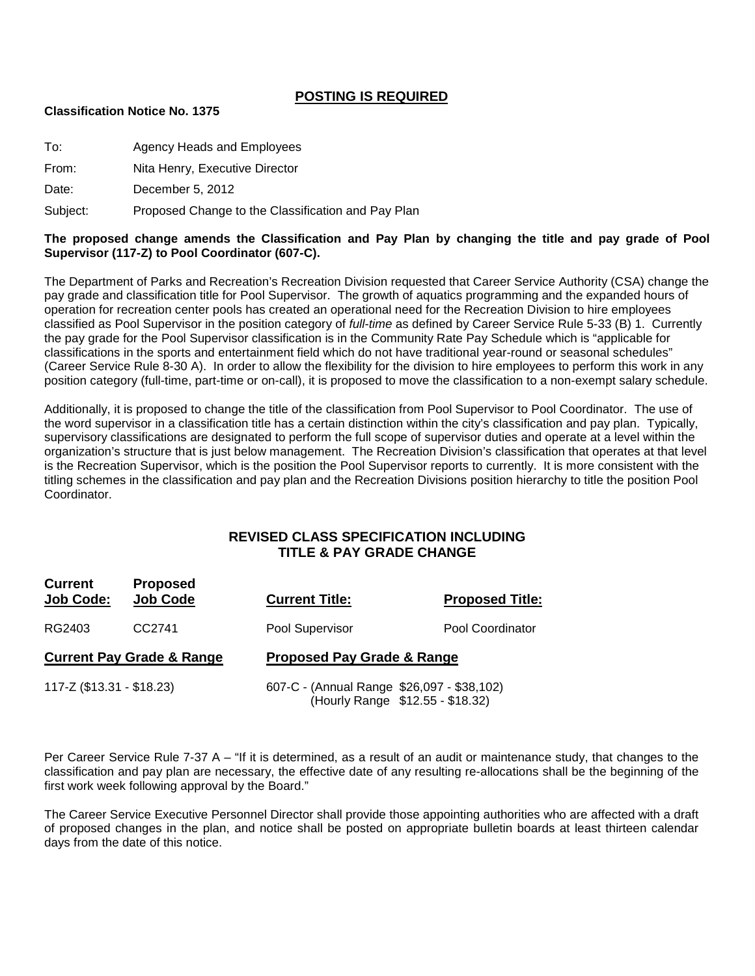## **POSTING IS REQUIRED**

#### **Classification Notice No. 1375**

| To: | Agency Heads and Employees |  |
|-----|----------------------------|--|
|-----|----------------------------|--|

From: Nita Henry, Executive Director

Date: December 5, 2012

Subject: Proposed Change to the Classification and Pay Plan

#### **The proposed change amends the Classification and Pay Plan by changing the title and pay grade of Pool Supervisor (117-Z) to Pool Coordinator (607-C).**

The Department of Parks and Recreation's Recreation Division requested that Career Service Authority (CSA) change the pay grade and classification title for Pool Supervisor. The growth of aquatics programming and the expanded hours of operation for recreation center pools has created an operational need for the Recreation Division to hire employees classified as Pool Supervisor in the position category of *full-time* as defined by Career Service Rule 5-33 (B) 1. Currently the pay grade for the Pool Supervisor classification is in the Community Rate Pay Schedule which is "applicable for classifications in the sports and entertainment field which do not have traditional year-round or seasonal schedules" (Career Service Rule 8-30 A). In order to allow the flexibility for the division to hire employees to perform this work in any position category (full-time, part-time or on-call), it is proposed to move the classification to a non-exempt salary schedule.

Additionally, it is proposed to change the title of the classification from Pool Supervisor to Pool Coordinator. The use of the word supervisor in a classification title has a certain distinction within the city's classification and pay plan. Typically, supervisory classifications are designated to perform the full scope of supervisor duties and operate at a level within the organization's structure that is just below management. The Recreation Division's classification that operates at that level is the Recreation Supervisor, which is the position the Pool Supervisor reports to currently. It is more consistent with the titling schemes in the classification and pay plan and the Recreation Divisions position hierarchy to title the position Pool Coordinator.

## **REVISED CLASS SPECIFICATION INCLUDING TITLE & PAY GRADE CHANGE**

| <b>Current</b><br>Job Code: | <b>Proposed</b><br><b>Job Code</b>   | <b>Current Title:</b>                      | <b>Proposed Title:</b>           |
|-----------------------------|--------------------------------------|--------------------------------------------|----------------------------------|
| RG2403                      | CC <sub>2741</sub>                   | Pool Supervisor                            | Pool Coordinator                 |
|                             | <b>Current Pay Grade &amp; Range</b> | <b>Proposed Pay Grade &amp; Range</b>      |                                  |
| 117-Z (\$13.31 - \$18.23)   |                                      | 607-C - (Annual Range \$26,097 - \$38,102) | (Hourly Range \$12.55 - \$18.32) |

Per Career Service Rule 7-37 A – "If it is determined, as a result of an audit or maintenance study, that changes to the classification and pay plan are necessary, the effective date of any resulting re-allocations shall be the beginning of the first work week following approval by the Board."

The Career Service Executive Personnel Director shall provide those appointing authorities who are affected with a draft of proposed changes in the plan, and notice shall be posted on appropriate bulletin boards at least thirteen calendar days from the date of this notice.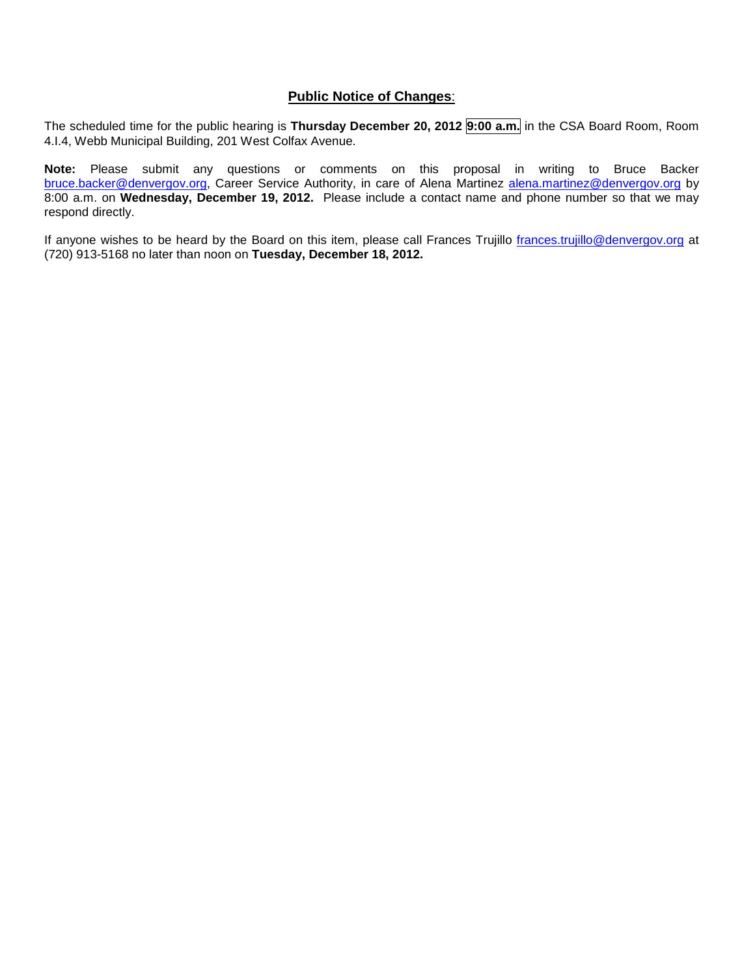#### **Public Notice of Changes**:

The scheduled time for the public hearing is **Thursday December 20, 2012 9:00 a.m.** in the CSA Board Room, Room 4.I.4, Webb Municipal Building, 201 West Colfax Avenue.

**Note:** Please submit any questions or comments on this proposal in writing to Bruce Backer [bruce.backer@denvergov.org,](mailto:bruce.backer@denvergov.org) Career Service Authority, in care of Alena Martinez [alena.martinez@denvergov.org](mailto:alena.martinez@denvergov.org) by 8:00 a.m. on **Wednesday, December 19, 2012.** Please include a contact name and phone number so that we may respond directly.

If anyone wishes to be heard by the Board on this item, please call Frances Trujillo [frances.trujillo@denvergov.org](mailto:frances.trujillo@denvergov.org) at (720) 913-5168 no later than noon on **Tuesday, December 18, 2012.**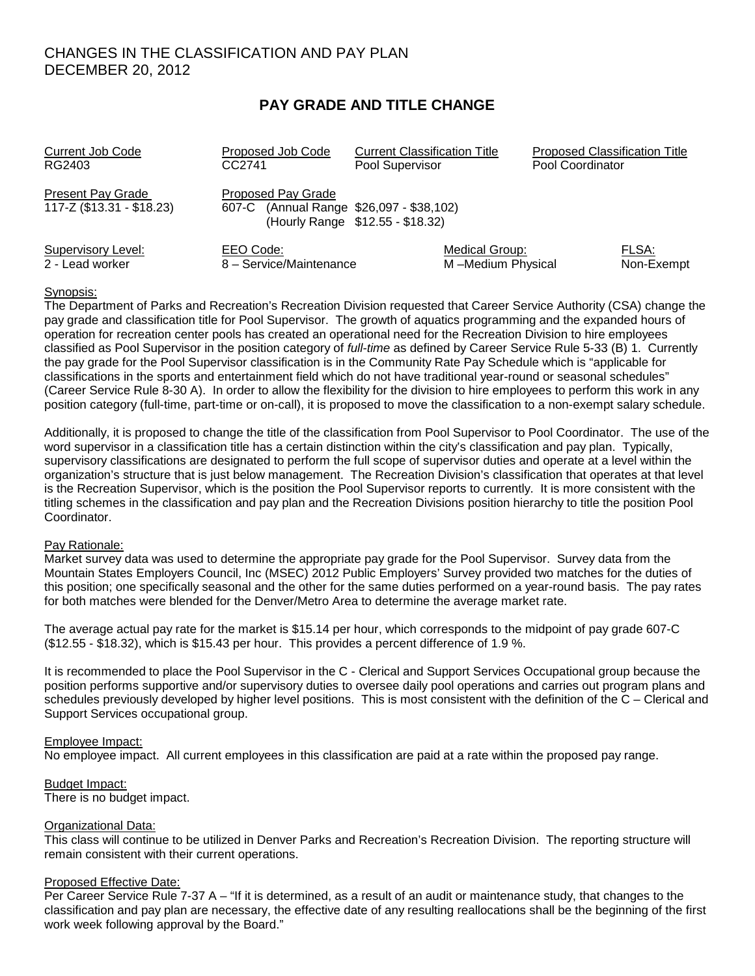## CHANGES IN THE CLASSIFICATION AND PAY PLAN DECEMBER 20, 2012

## **PAY GRADE AND TITLE CHANGE**

| <b>Current Job Code</b>                               | Proposed Job Code                                              | <b>Current Classification Title</b> | <b>Proposed Classification Title</b> |            |
|-------------------------------------------------------|----------------------------------------------------------------|-------------------------------------|--------------------------------------|------------|
| RG2403                                                | CC2741                                                         | Pool Supervisor                     | Pool Coordinator                     |            |
| <b>Present Pay Grade</b><br>117-Z (\$13.31 - \$18.23) | Proposed Pay Grade<br>607-C (Annual Range \$26,097 - \$38,102) | (Hourly Range \$12.55 - \$18.32)    |                                      |            |
| Supervisory Level:                                    | EEO Code:                                                      | Medical Group:                      |                                      | FLSA:      |
| 2 - Lead worker                                       | 8 - Service/Maintenance                                        | M-Medium Physical                   |                                      | Non-Exempt |

#### Synopsis:

The Department of Parks and Recreation's Recreation Division requested that Career Service Authority (CSA) change the pay grade and classification title for Pool Supervisor. The growth of aquatics programming and the expanded hours of operation for recreation center pools has created an operational need for the Recreation Division to hire employees classified as Pool Supervisor in the position category of *full-time* as defined by Career Service Rule 5-33 (B) 1. Currently the pay grade for the Pool Supervisor classification is in the Community Rate Pay Schedule which is "applicable for classifications in the sports and entertainment field which do not have traditional year-round or seasonal schedules" (Career Service Rule 8-30 A). In order to allow the flexibility for the division to hire employees to perform this work in any position category (full-time, part-time or on-call), it is proposed to move the classification to a non-exempt salary schedule.

Additionally, it is proposed to change the title of the classification from Pool Supervisor to Pool Coordinator. The use of the word supervisor in a classification title has a certain distinction within the city's classification and pay plan. Typically, supervisory classifications are designated to perform the full scope of supervisor duties and operate at a level within the organization's structure that is just below management. The Recreation Division's classification that operates at that level is the Recreation Supervisor, which is the position the Pool Supervisor reports to currently. It is more consistent with the titling schemes in the classification and pay plan and the Recreation Divisions position hierarchy to title the position Pool Coordinator.

#### Pay Rationale:

Market survey data was used to determine the appropriate pay grade for the Pool Supervisor. Survey data from the Mountain States Employers Council, Inc (MSEC) 2012 Public Employers' Survey provided two matches for the duties of this position; one specifically seasonal and the other for the same duties performed on a year-round basis. The pay rates for both matches were blended for the Denver/Metro Area to determine the average market rate.

The average actual pay rate for the market is \$15.14 per hour, which corresponds to the midpoint of pay grade 607-C (\$12.55 - \$18.32), which is \$15.43 per hour. This provides a percent difference of 1.9 %.

It is recommended to place the Pool Supervisor in the C - Clerical and Support Services Occupational group because the position performs supportive and/or supervisory duties to oversee daily pool operations and carries out program plans and schedules previously developed by higher level positions. This is most consistent with the definition of the C – Clerical and Support Services occupational group.

#### Employee Impact:

No employee impact. All current employees in this classification are paid at a rate within the proposed pay range.

Budget Impact: There is no budget impact.

#### Organizational Data:

This class will continue to be utilized in Denver Parks and Recreation's Recreation Division. The reporting structure will remain consistent with their current operations.

#### Proposed Effective Date:

Per Career Service Rule 7-37 A – "If it is determined, as a result of an audit or maintenance study, that changes to the classification and pay plan are necessary, the effective date of any resulting reallocations shall be the beginning of the first work week following approval by the Board."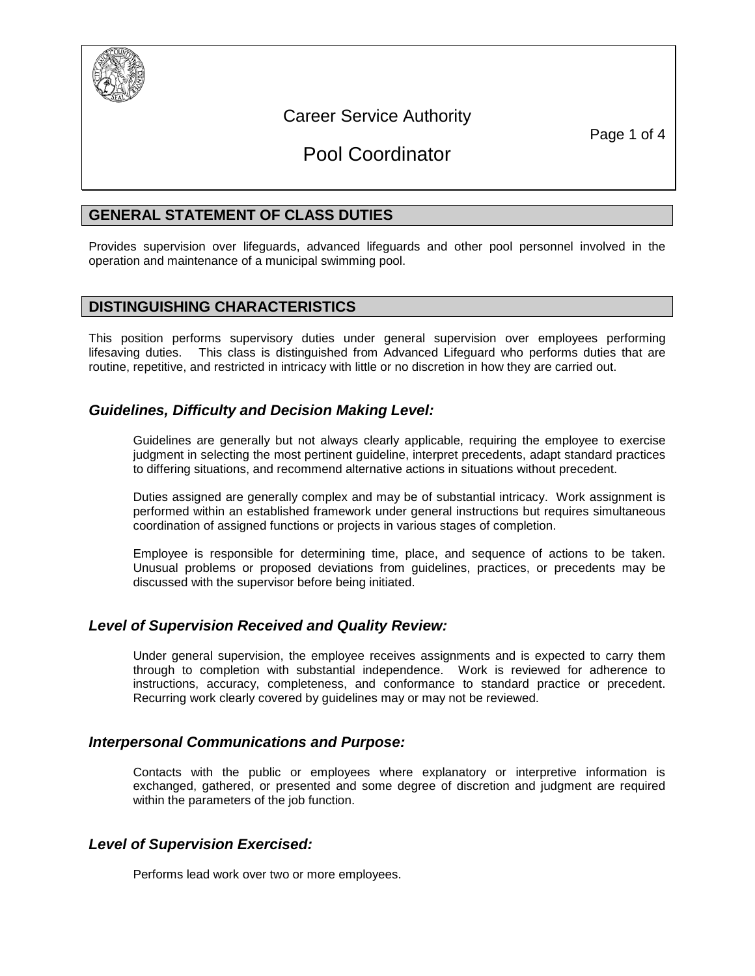

# Career Service Authority

Page 1 of 4

# Pool Coordinator

## **GENERAL STATEMENT OF CLASS DUTIES**

Provides supervision over lifeguards, advanced lifeguards and other pool personnel involved in the operation and maintenance of a municipal swimming pool.

## **DISTINGUISHING CHARACTERISTICS**

This position performs supervisory duties under general supervision over employees performing lifesaving duties. This class is distinguished from Advanced Lifeguard who performs duties that are routine, repetitive, and restricted in intricacy with little or no discretion in how they are carried out.

## *Guidelines, Difficulty and Decision Making Level:*

Guidelines are generally but not always clearly applicable, requiring the employee to exercise judgment in selecting the most pertinent guideline, interpret precedents, adapt standard practices to differing situations, and recommend alternative actions in situations without precedent.

Duties assigned are generally complex and may be of substantial intricacy. Work assignment is performed within an established framework under general instructions but requires simultaneous coordination of assigned functions or projects in various stages of completion.

Employee is responsible for determining time, place, and sequence of actions to be taken. Unusual problems or proposed deviations from guidelines, practices, or precedents may be discussed with the supervisor before being initiated.

#### *Level of Supervision Received and Quality Review:*

Under general supervision, the employee receives assignments and is expected to carry them through to completion with substantial independence. Work is reviewed for adherence to instructions, accuracy, completeness, and conformance to standard practice or precedent. Recurring work clearly covered by guidelines may or may not be reviewed.

## *Interpersonal Communications and Purpose:*

Contacts with the public or employees where explanatory or interpretive information is exchanged, gathered, or presented and some degree of discretion and judgment are required within the parameters of the job function.

#### *Level of Supervision Exercised:*

Performs lead work over two or more employees.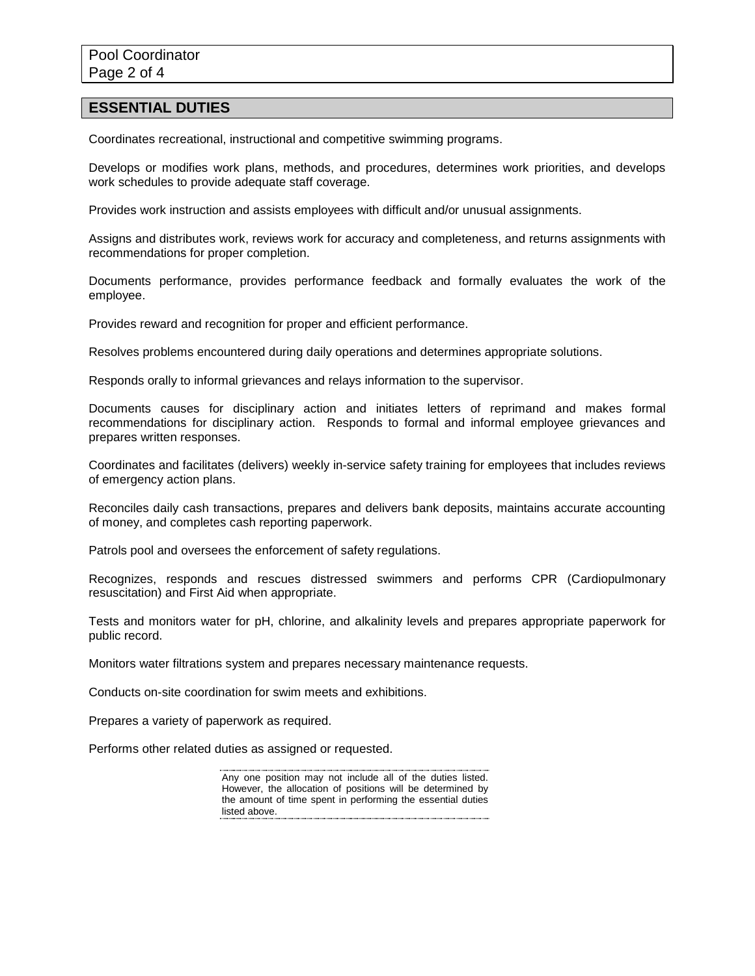#### **ESSENTIAL DUTIES**

Coordinates recreational, instructional and competitive swimming programs.

Develops or modifies work plans, methods, and procedures, determines work priorities, and develops work schedules to provide adequate staff coverage.

Provides work instruction and assists employees with difficult and/or unusual assignments.

Assigns and distributes work, reviews work for accuracy and completeness, and returns assignments with recommendations for proper completion.

Documents performance, provides performance feedback and formally evaluates the work of the employee.

Provides reward and recognition for proper and efficient performance.

Resolves problems encountered during daily operations and determines appropriate solutions.

Responds orally to informal grievances and relays information to the supervisor.

Documents causes for disciplinary action and initiates letters of reprimand and makes formal recommendations for disciplinary action. Responds to formal and informal employee grievances and prepares written responses.

Coordinates and facilitates (delivers) weekly in-service safety training for employees that includes reviews of emergency action plans.

Reconciles daily cash transactions, prepares and delivers bank deposits, maintains accurate accounting of money, and completes cash reporting paperwork.

Patrols pool and oversees the enforcement of safety regulations.

Recognizes, responds and rescues distressed swimmers and performs CPR (Cardiopulmonary resuscitation) and First Aid when appropriate.

Tests and monitors water for pH, chlorine, and alkalinity levels and prepares appropriate paperwork for public record.

Monitors water filtrations system and prepares necessary maintenance requests.

Conducts on-site coordination for swim meets and exhibitions.

Prepares a variety of paperwork as required.

Performs other related duties as assigned or requested.

Any one position may not include all of the duties listed. However, the allocation of positions will be determined by the amount of time spent in performing the essential duties listed above.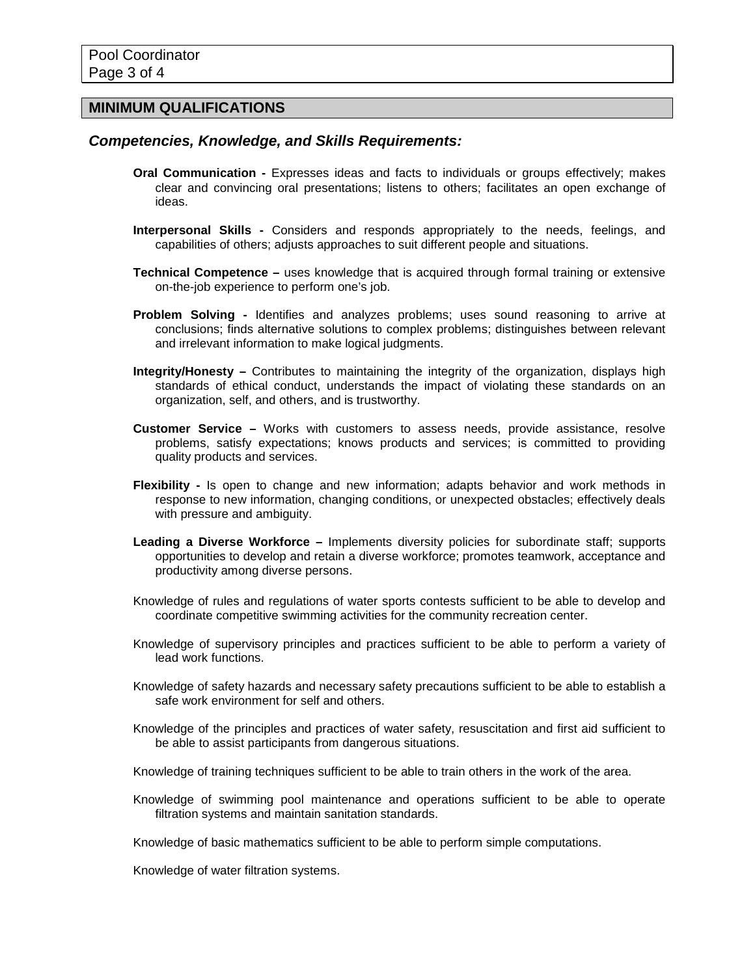### **MINIMUM QUALIFICATIONS**

#### *Competencies, Knowledge, and Skills Requirements:*

- **Oral Communication -** Expresses ideas and facts to individuals or groups effectively; makes clear and convincing oral presentations; listens to others; facilitates an open exchange of ideas.
- **Interpersonal Skills -** Considers and responds appropriately to the needs, feelings, and capabilities of others; adjusts approaches to suit different people and situations.
- **Technical Competence –** uses knowledge that is acquired through formal training or extensive on-the-job experience to perform one's job.
- **Problem Solving -** Identifies and analyzes problems; uses sound reasoning to arrive at conclusions; finds alternative solutions to complex problems; distinguishes between relevant and irrelevant information to make logical judgments.
- **Integrity/Honesty –** Contributes to maintaining the integrity of the organization, displays high standards of ethical conduct, understands the impact of violating these standards on an organization, self, and others, and is trustworthy.
- **Customer Service –** Works with customers to assess needs, provide assistance, resolve problems, satisfy expectations; knows products and services; is committed to providing quality products and services.
- **Flexibility -** Is open to change and new information; adapts behavior and work methods in response to new information, changing conditions, or unexpected obstacles; effectively deals with pressure and ambiguity.
- **Leading a Diverse Workforce –** Implements diversity policies for subordinate staff; supports opportunities to develop and retain a diverse workforce; promotes teamwork, acceptance and productivity among diverse persons.
- Knowledge of rules and regulations of water sports contests sufficient to be able to develop and coordinate competitive swimming activities for the community recreation center.
- Knowledge of supervisory principles and practices sufficient to be able to perform a variety of lead work functions.
- Knowledge of safety hazards and necessary safety precautions sufficient to be able to establish a safe work environment for self and others.
- Knowledge of the principles and practices of water safety, resuscitation and first aid sufficient to be able to assist participants from dangerous situations.
- Knowledge of training techniques sufficient to be able to train others in the work of the area.
- Knowledge of swimming pool maintenance and operations sufficient to be able to operate filtration systems and maintain sanitation standards.
- Knowledge of basic mathematics sufficient to be able to perform simple computations.

Knowledge of water filtration systems.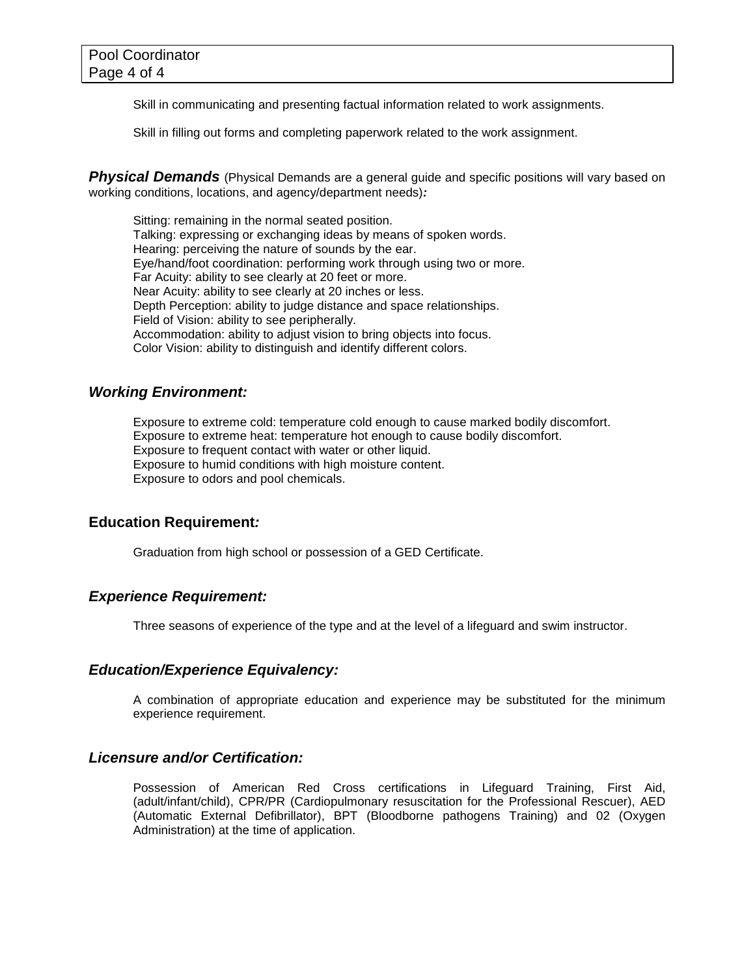Skill in communicating and presenting factual information related to work assignments.

Skill in filling out forms and completing paperwork related to the work assignment.

**Physical Demands** (Physical Demands are a general guide and specific positions will vary based on working conditions, locations, and agency/department needs)*:*

Sitting: remaining in the normal seated position. Talking: expressing or exchanging ideas by means of spoken words. Hearing: perceiving the nature of sounds by the ear. Eye/hand/foot coordination: performing work through using two or more. Far Acuity: ability to see clearly at 20 feet or more. Near Acuity: ability to see clearly at 20 inches or less. Depth Perception: ability to judge distance and space relationships. Field of Vision: ability to see peripherally. Accommodation: ability to adjust vision to bring objects into focus. Color Vision: ability to distinguish and identify different colors.

### *Working Environment:*

Exposure to extreme cold: temperature cold enough to cause marked bodily discomfort. Exposure to extreme heat: temperature hot enough to cause bodily discomfort. Exposure to frequent contact with water or other liquid. Exposure to humid conditions with high moisture content. Exposure to odors and pool chemicals.

#### **Education Requirement***:*

Graduation from high school or possession of a GED Certificate.

#### *Experience Requirement:*

Three seasons of experience of the type and at the level of a lifeguard and swim instructor.

## *Education/Experience Equivalency:*

A combination of appropriate education and experience may be substituted for the minimum experience requirement.

#### *Licensure and/or Certification:*

Possession of American Red Cross certifications in Lifeguard Training, First Aid, (adult/infant/child), CPR/PR (Cardiopulmonary resuscitation for the Professional Rescuer), AED (Automatic External Defibrillator), BPT (Bloodborne pathogens Training) and 02 (Oxygen Administration) at the time of application.